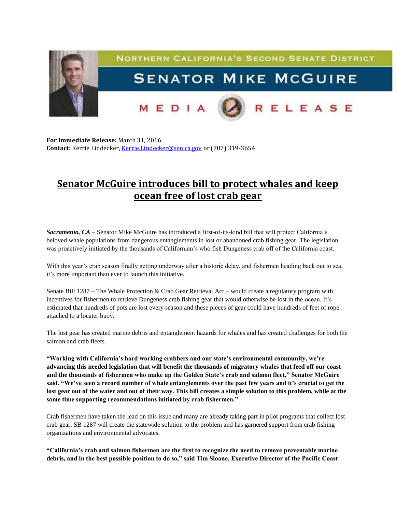

**For Immediate Release:** March 31, 2016 **Contact:** Kerrie Lindecker, [Kerrie.Lindecker@sen.ca.gov](mailto:Kerrie.Lindecker@sen.ca.gov) or (707) 319-3654

## **Senator McGuire introduces bill to protect whales and keep ocean free of lost crab gear**

*Sacramento, CA* – Senator Mike McGuire has introduced a first-of-its-kind bill that will protect California's beloved whale populations from dangerous entanglements in lost or abandoned crab fishing gear. The legislation was proactively initiated by the thousands of Californian's who fish Dungeness crab off of the California coast.

With this year's crab season finally getting underway after a historic delay, and fishermen heading back out to sea, it's more important than ever to launch this initiative.

Senate Bill 1287 – The Whale Protection & Crab Gear Retrieval Act – would create a regulatory program with incentives for fishermen to retrieve Dungeness crab fishing gear that would otherwise be lost in the ocean. It's estimated that hundreds of pots are lost every season and these pieces of gear could have hundreds of feet of rope attached to a locater buoy.

The lost gear has created marine debris and entanglement hazards for whales and has created challenges for both the salmon and crab fleets.

**"Working with California's hard working crabbers and our state's environmental community, we're advancing this needed legislation that will benefit the thousands of migratory whales that feed off our coast and the thousands of fishermen who make up the Golden State's crab and salmon fleet," Senator McGuire said. "We've seen a record number of whale entanglements over the past few years and it's crucial to get the lost gear out of the water and out of their way. This bill creates a simple solution to this problem, while at the same time supporting recommendations initiated by crab fishermen."**

Crab fishermen have taken the lead on this issue and many are already taking part in pilot programs that collect lost crab gear. SB 1287 will create the statewide solution to the problem and has garnered support from crab fishing organizations and environmental advocates.

**"California's crab and salmon fishermen are the first to recognize the need to remove preventable marine debris, and in the best possible position to do so," said Tim Sloane, Executive Director of the Pacific Coast**